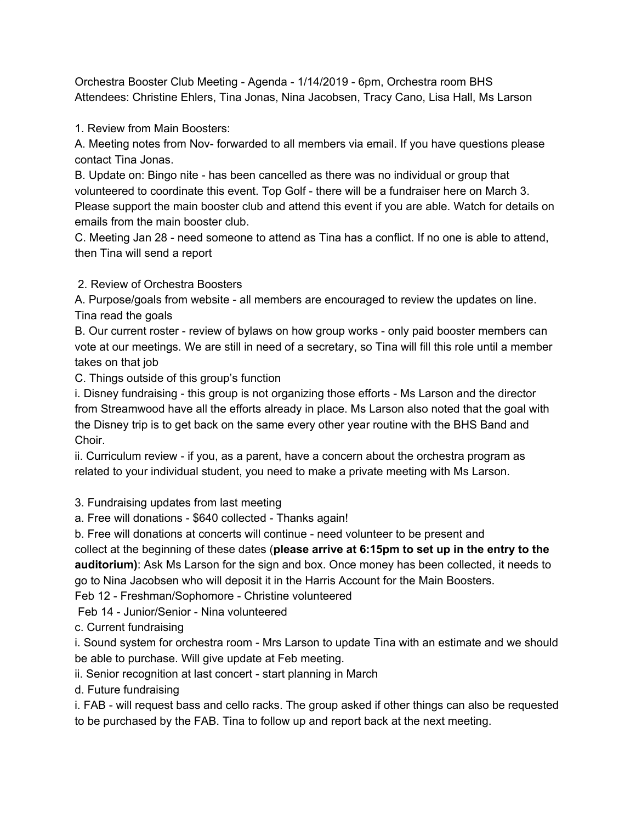Orchestra Booster Club Meeting - Agenda - 1/14/2019 - 6pm, Orchestra room BHS Attendees: Christine Ehlers, Tina Jonas, Nina Jacobsen, Tracy Cano, Lisa Hall, Ms Larson

1. Review from Main Boosters:

A. Meeting notes from Nov- forwarded to all members via email. If you have questions please contact Tina Jonas.

B. Update on: Bingo nite - has been cancelled as there was no individual or group that volunteered to coordinate this event. Top Golf - there will be a fundraiser here on March 3. Please support the main booster club and attend this event if you are able. Watch for details on emails from the main booster club.

C. Meeting Jan 28 - need someone to attend as Tina has a conflict. If no one is able to attend, then Tina will send a report

2. Review of Orchestra Boosters

A. Purpose/goals from website - all members are encouraged to review the updates on line. Tina read the goals

B. Our current roster - review of bylaws on how group works - only paid booster members can vote at our meetings. We are still in need of a secretary, so Tina will fill this role until a member takes on that job

C. Things outside of this group's function

i. Disney fundraising - this group is not organizing those efforts - Ms Larson and the director from Streamwood have all the efforts already in place. Ms Larson also noted that the goal with the Disney trip is to get back on the same every other year routine with the BHS Band and Choir.

ii. Curriculum review - if you, as a parent, have a concern about the orchestra program as related to your individual student, you need to make a private meeting with Ms Larson.

3. Fundraising updates from last meeting

a. Free will donations - \$640 collected - Thanks again!

b. Free will donations at concerts will continue - need volunteer to be present and

collect at the beginning of these dates (**please arrive at 6:15pm to set up in the entry to the auditorium)**: Ask Ms Larson for the sign and box. Once money has been collected, it needs to go to Nina Jacobsen who will deposit it in the Harris Account for the Main Boosters.

Feb 12 - Freshman/Sophomore - Christine volunteered

Feb 14 - Junior/Senior - Nina volunteered

c. Current fundraising

i. Sound system for orchestra room - Mrs Larson to update Tina with an estimate and we should be able to purchase. Will give update at Feb meeting.

ii. Senior recognition at last concert - start planning in March

d. Future fundraising

i. FAB - will request bass and cello racks. The group asked if other things can also be requested to be purchased by the FAB. Tina to follow up and report back at the next meeting.